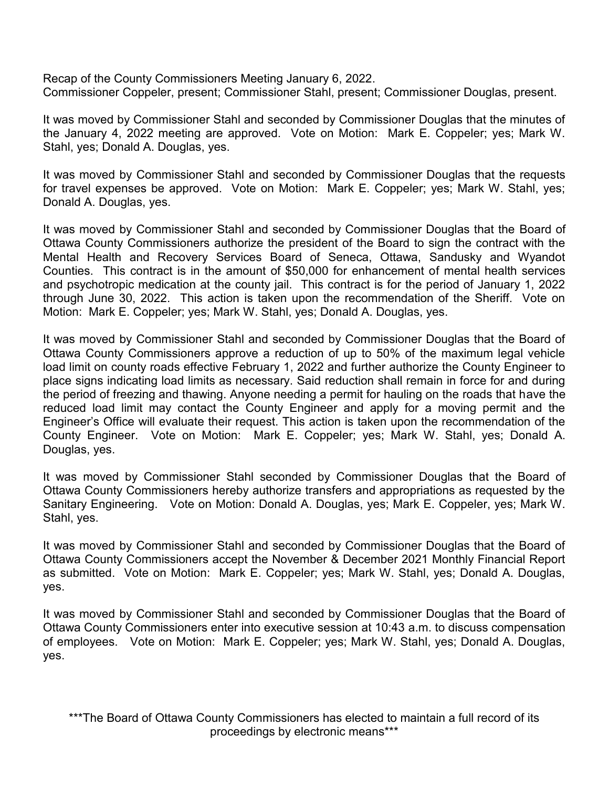Recap of the County Commissioners Meeting January 6, 2022. Commissioner Coppeler, present; Commissioner Stahl, present; Commissioner Douglas, present.

It was moved by Commissioner Stahl and seconded by Commissioner Douglas that the minutes of the January 4, 2022 meeting are approved. Vote on Motion: Mark E. Coppeler; yes; Mark W. Stahl, yes; Donald A. Douglas, yes.

It was moved by Commissioner Stahl and seconded by Commissioner Douglas that the requests for travel expenses be approved. Vote on Motion: Mark E. Coppeler; yes; Mark W. Stahl, yes; Donald A. Douglas, yes.

It was moved by Commissioner Stahl and seconded by Commissioner Douglas that the Board of Ottawa County Commissioners authorize the president of the Board to sign the contract with the Mental Health and Recovery Services Board of Seneca, Ottawa, Sandusky and Wyandot Counties. This contract is in the amount of \$50,000 for enhancement of mental health services and psychotropic medication at the county jail. This contract is for the period of January 1, 2022 through June 30, 2022. This action is taken upon the recommendation of the Sheriff. Vote on Motion: Mark E. Coppeler; yes; Mark W. Stahl, yes; Donald A. Douglas, yes.

It was moved by Commissioner Stahl and seconded by Commissioner Douglas that the Board of Ottawa County Commissioners approve a reduction of up to 50% of the maximum legal vehicle load limit on county roads effective February 1, 2022 and further authorize the County Engineer to place signs indicating load limits as necessary. Said reduction shall remain in force for and during the period of freezing and thawing. Anyone needing a permit for hauling on the roads that have the reduced load limit may contact the County Engineer and apply for a moving permit and the Engineer's Office will evaluate their request. This action is taken upon the recommendation of the County Engineer. Vote on Motion: Mark E. Coppeler; yes; Mark W. Stahl, yes; Donald A. Douglas, yes.

It was moved by Commissioner Stahl seconded by Commissioner Douglas that the Board of Ottawa County Commissioners hereby authorize transfers and appropriations as requested by the Sanitary Engineering. Vote on Motion: Donald A. Douglas, yes; Mark E. Coppeler, yes; Mark W. Stahl, yes.

It was moved by Commissioner Stahl and seconded by Commissioner Douglas that the Board of Ottawa County Commissioners accept the November & December 2021 Monthly Financial Report as submitted. Vote on Motion: Mark E. Coppeler; yes; Mark W. Stahl, yes; Donald A. Douglas, yes.

It was moved by Commissioner Stahl and seconded by Commissioner Douglas that the Board of Ottawa County Commissioners enter into executive session at 10:43 a.m. to discuss compensation of employees. Vote on Motion: Mark E. Coppeler; yes; Mark W. Stahl, yes; Donald A. Douglas, yes.

\*\*\*The Board of Ottawa County Commissioners has elected to maintain a full record of its proceedings by electronic means\*\*\*